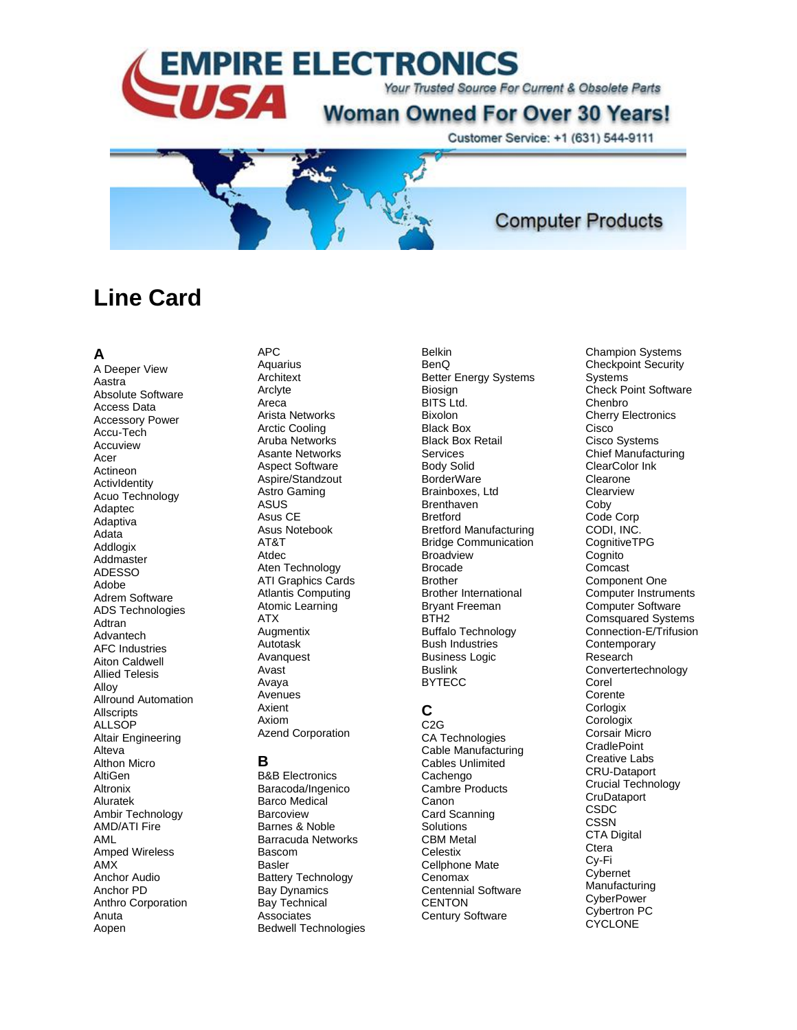

Customer Service: +1 (631) 544-9111

**Computer Products** 

# **Line Card**

#### **A**

A Deeper View Aastra Absolute Software Access Data Accessory Power Accu -Tech Accuview Acer Actineon ActivIdentity Acuo Technology Adaptec Adaptiva Adata Addlogix Addmaster ADESSO Adobe Adrem Software ADS Technologies Adtran Advantech AFC Industries Aiton Caldwell Allied Telesis Alloy Allround Automation **Allscripts ALLSOP** Altair Engineering Alteva Althon Micro AltiGen Altronix Aluratek Ambir Technology AMD/ATI Fire AML Amped Wireless AMX Anchor Audio Anchor PD Anthro Corporation Anuta Aopen

#### APC **Aquarius Architext**

Arclyte Areca Arista Networks Arctic Cooling Aruba Networks Asante Networks Aspect Software Aspire/Standzout Astro Gaming ASUS Asus CE Asus Notebook AT&T Atdec Aten Technology ATI Graphics Cards Atlantis Computing Atomic Learning ATX **Augmentix** Autotask Avanquest Avast Avaya Avenues Axient Axiom Azend Corporation

#### **B**

B&B Electronics Baracoda/Ingenico Barco Medical **Barcoview** Barnes & Noble Barracuda Networks Bascom Basler Battery Technology Bay Dynamics Bay Technical Associates Bedwell Technologies

Belkin BenQ Better Energy Systems Biosign BITS Ltd. Bixolon Black Box Black Box Retail Services Body Solid BorderWare Brainboxes, Ltd **Brenthaven Bretford** Bretford Manufacturing Bridge Communication **Broadview** Brocade Brother Brother International Bryant Freeman BTH<sub>2</sub> Buffalo Technology Bush Industries Business Logic Buslink BYTECC

# **C**

C2G CA Technologies Cable Manufacturing Cables Unlimited **Cachengo** Cambre Products Canon Card Scanning **Solutions** CBM Metal **Celestix** Cellphone Mate Cenomax Centennial Software **CENTON** Century Software

Champion Systems Checkpoint Security **Systems** Check Point Software Chenbro Cherry Electronics **Cisco** Cisco Systems Chief Manufacturing ClearColor Ink Clearone **Clearview** Coby Code Corp CODI, INC. **CognitiveTPG Cognito** Comcast Component One Computer Instruments Computer Software Comsquared Systems Connection -E/Trifusion Contemporary Research Convertertechnology Corel Corente **Corlogix Corologix** Corsair Micro **CradlePoint** Creative Labs CRU -Dataport Crucial Technology **CruDataport** CSDC CSSN CTA Digital **Ctera** Cy -Fi **Cybernet Manufacturing CyberPower** Cybertron PC **CYCLONE**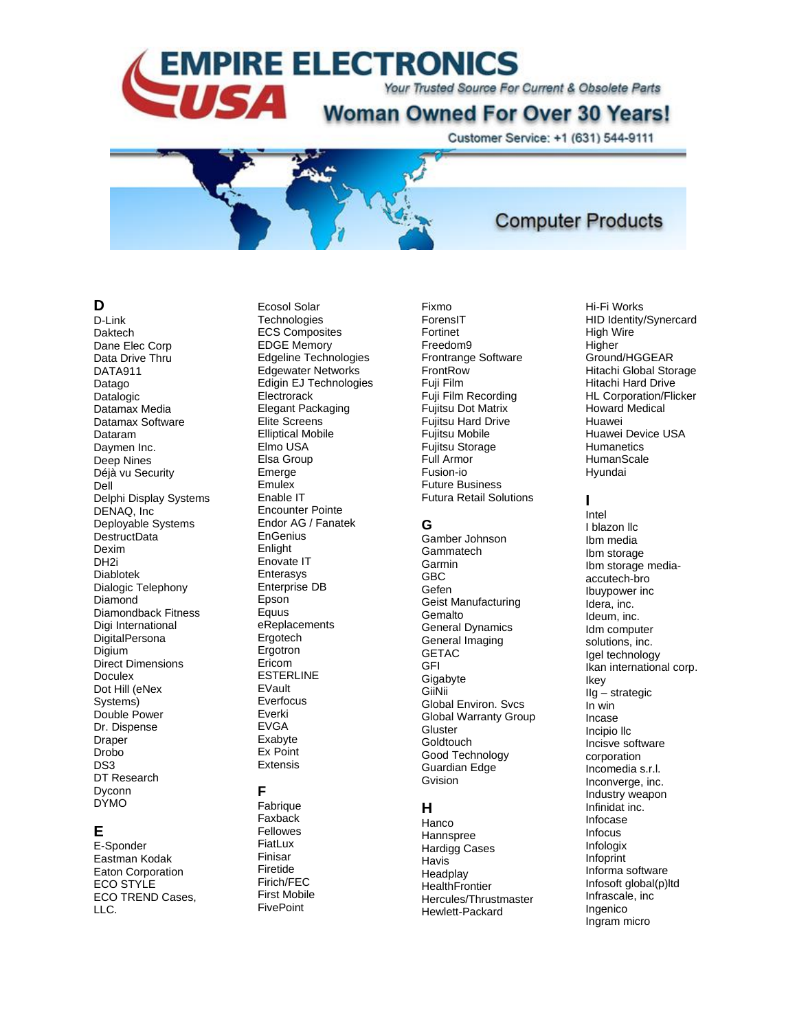Your Trusted Source For Current & Obsolete Parts

# **Woman Owned For Over 30 Years!**

Customer Service: +1 (631) 544-9111



# **Computer Products**

### D

D-Link Daktech Dane Elec Corp Data Drive Thru **DATA911** Datago Datalogic Datamax Media Datamax Software Dataram Davmen Inc. Deep Nines Déjà vu Security Dell Delphi Display Systems DENAQ, Inc. Deployable Systems DestructData Dexim DH<sub>2i</sub> Diablotek Dialogic Telephony Diamond Diamondback Fitness Digi International DigitalPersona Diaium Direct Dimensions Doculex Dot Hill (eNex Systems) Double Power Dr. Dispense Draper Drobo DS<sub>3</sub> DT Research Dyconn **DYMO** 

### Е

E-Sponder Eastman Kodak Eaton Corporation ECO STYLE ECO TREND Cases, LLC.

Ecosol Solar Technologies **ECS Composites** EDGE Memory Edgeline Technologies **Edgewater Networks** Edigin EJ Technologies Electrorack **Elegant Packaging** Elite Screens **Elliptical Mobile** Elmo USA Elsa Group Emerge Emulex Enable IT **Encounter Pointe** Endor AG / Fanatek EnGenius Enlight Enovate IT Enterasys Enterprise DB Epson Equus eReplacements Ergotech Ergotron Ericom **ESTERLINE** EVault Everfocus Everki **EVGA** Exabvte Ex Point Extensis F

Fabrique Faxback Fellowes FiatLux Finisar Firetide Firich/FEC **First Mobile FivePoint** 

ForensIT Fortinet Freedom9 Frontrange Software FrontRow Fuji Film Fuji Film Recording **Fujitsu Dot Matrix** Fujitsu Hard Drive Fujitsu Mobile **Fuiltsu Storage** Full Armor Fusion-io **Future Business Futura Retail Solutions** 

### G

Fixmo

Gamber Johnson Gammatech Garmin **GBC** Gefen Geist Manufacturing Gemalto **General Dynamics** General Imaging **GETAC GFI** Gigabyte GiiNii **Global Environ, Svcs Global Warranty Group** Gluster Goldtouch Good Technology **Guardian Edge** Gvision

### н

Hanco Hannspree **Hardigg Cases Havis** Headplay **HealthFrontier** Hercules/Thrustmaster Hewlett-Packard

Hi-Fi Works HID Identity/Synercard High Wire Higher Ground/HGGEAR Hitachi Global Storage **Hitachi Hard Drive HL Corporation/Flicker Howard Medical** Huawei Huawei Device USA Humanetics HumanScale Hyundai

#### $\mathbf{I}$

Intel I blazon IIc Ibm media Ibm storage Ibm storage mediaaccutech-bro Ibuypower inc Idera, inc. Ideum, inc. Idm computer solutions, inc. Igel technology Ikan international corp. Ikey  $Ilg -$ strategic  $\overline{\ln}$  win Incase Incipio IIc Incisve software corporation Incomedia s.r.l. Inconverge, inc. Industry weapon Infinidat inc. Infocase Infocus Infologix Infoprint Informa software Infosoft global(p)ltd Infrascale, inc Ingenico Ingram micro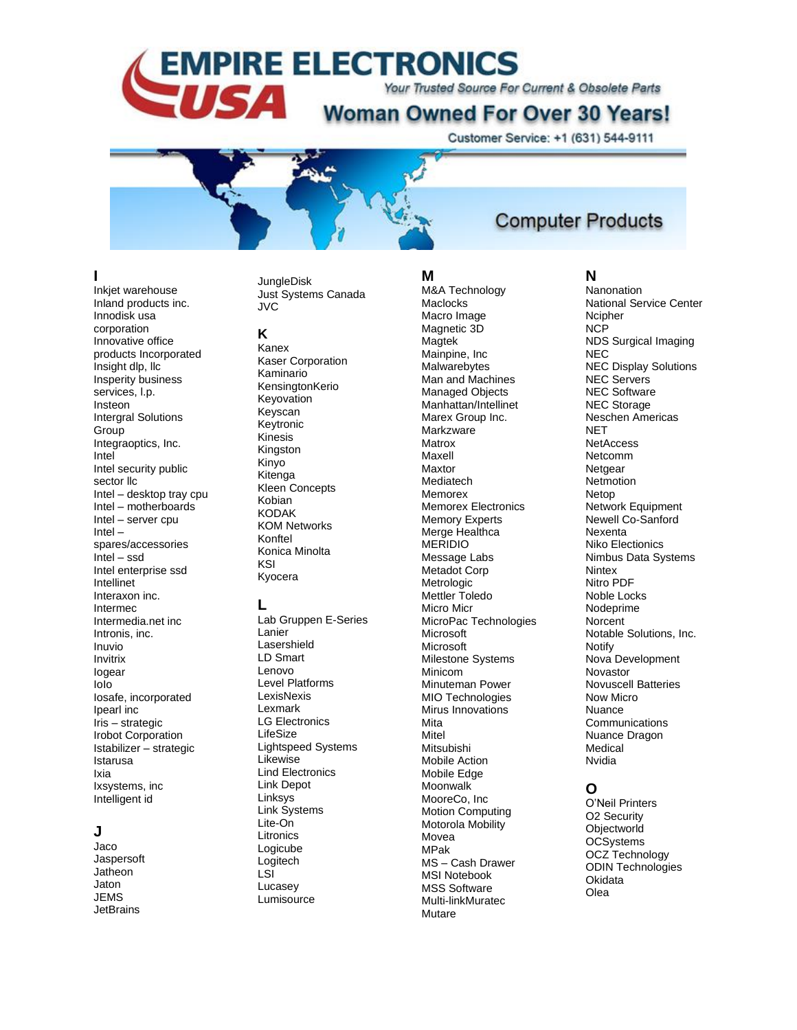Your Trusted Source For Current & Obsolete Parts

# **Woman Owned For Over 30 Years!**

Customer Service: +1 (631) 544-9111



# **Computer Products**

### **I**

Inkjet warehouse Inland products inc. Innodisk usa corporation Innovative office products Incorporated Insight dlp, llc Insperity business services, l.p. Insteon Intergral Solutions **Group** Integraoptics, Inc. Intel Intel security public sector llc Intel – desktop tray cpu Intel – motherboards Intel – server cpu Intel – spares/accessories Intel – ssd Intel enterprise ssd Intellinet Interaxon inc. Intermec Intermedia.net inc Intronis, inc. Inuvio Invitrix Iogear IoIo Iosafe, incorporated Ipearl inc Iris – strategic Irobot Corporation Istabilizer – strategic Istarusa Ixia Ixsystems, inc Intelligent id

### **J**

Jaco Jaspersoft **Jatheon** Jaton JEMS **JetBrains** 

#### **JungleDisk** Just Systems Canada JVC

#### **K**

Kanex Kaser Corporation Kaminario KensingtonKerio Keyovation Keyscan Keytronic Kinesis Kingston Kinyo Kitenga Kleen Concepts Kobian **KODAK** KOM Networks Konftel Konica Minolta KSI Kyocera

#### **L**

Lab Gruppen E -Series Lanier Lasershield LD Smart Lenovo Level Platforms **LexisNexis** Lexmark LG Electronics LifeSize Lightspeed Systems Likewise Lind Electronics Link Depot Linksys Link Systems Lite -On **Litronics** Logicube Logitech LSI Lucasey **Lumisource** 

# **M**

M&A Technology **Maclocks** Macro Image Magnetic 3D Magtek Mainpine, Inc **Malwarebytes** Man and Machines Managed Objects Manhattan/Intellinet Marex Group Inc. **Markzware** Matrox Maxell Maxtor Mediatech Memorex Memorex Electronics Memory Experts Merge Healthca MERIDIO Message Labs Metadot Corp Metrologic Mettler Toledo Micro Micr MicroPac Technologies **Microsoft Microsoft** Milestone Systems Minicom Minuteman Power MIO Technologies Mirus Innovations Mita Mitel Mitsubishi Mobile Action Mobile Edge Moonwalk MooreCo, Inc Motion Computing Motorola Mobility Movea MPak MS – Cash Drawer MSI Notebook MSS Software Multi -linkMuratec Mutare

#### **N**

Nanonation National Service Center **Ncipher** NCP NDS Surgical Imaging **NEC** NEC Display Solutions NEC Servers NEC Software NEC Storage Neschen Americas **NET NetAccess** Netcomm **Netgear Netmotion** Netop Network Equipment Newell Co -Sanford Nexenta Niko Electionics Nimbus Data Systems **Nintex** Nitro PDF Noble Locks Nodeprime **Norcent** Notable Solutions, Inc. Notify Nova Development Novastor Novuscell Batteries Now Micro Nuance **Communications** Nuance Dragon Medical Nvidia

### **O**

O'Neil Printers O2 Security **Objectworld** OCSystems OCZ Technology ODIN Technologies **Okidata** Olea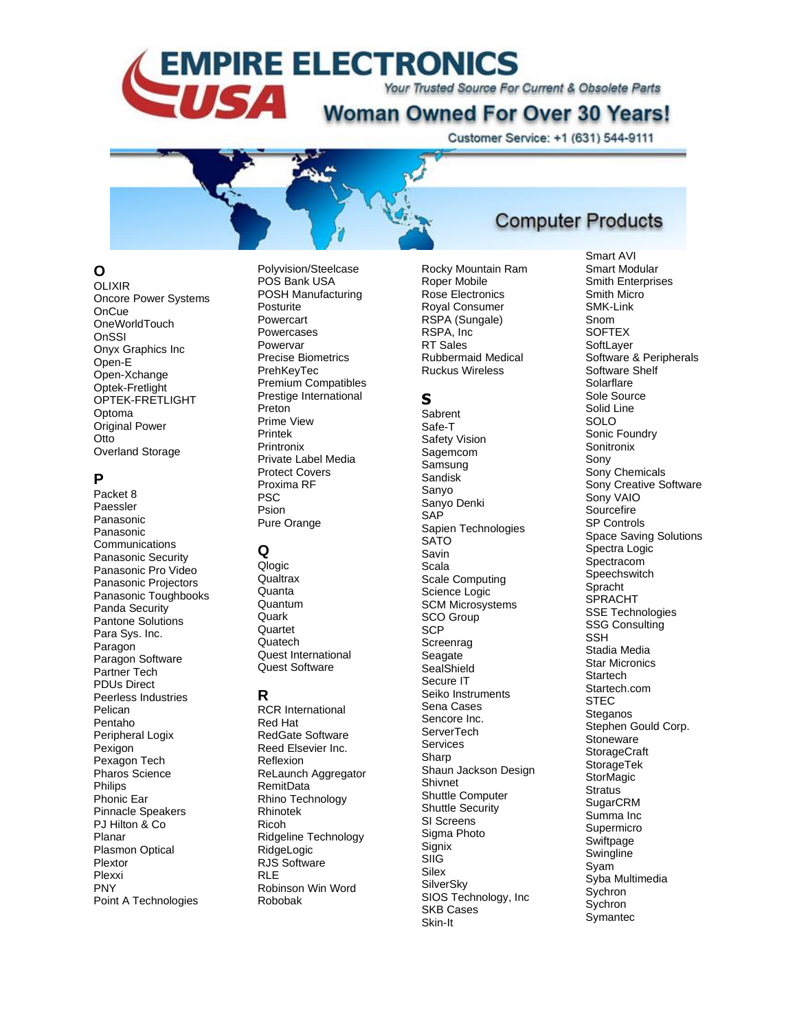Your Trusted Source For Current & Obsolete Parts

# **Woman Owned For Over 30 Years!**

Customer Service: +1 (631) 544-9111



# **O**

OLIXIR Oncore Power Systems **OnCue** OneWorldTouch **OnSSI** Onyx Graphics Inc Open - E Open -Xchange Optek -Fretlight OPTEK -FRETLIGHT Optoma Original Power Otto Overland Storage

### **P**

Packet 8 Paessler Panasonic Panasonic Communications Panasonic Security Panasonic Pro Video Panasonic Projectors Panasonic Toughbooks Panda Security Pantone Solutions Para Sys. Inc. Paragon Paragon Software Partner Tech PDUs Direct Peerless Industries Pelican Pentaho Peripheral Logix Pexigon Pexagon Tech Pharos Science Philips Phonic Ear Pinnacle Speakers PJ Hilton & Co Planar Plasmon Optical Plextor Plexxi PNY Point A Technologies

Polyvision/Steelcase POS Bank USA POSH Manufacturing Posturite Powercart Powercases Powervar Precise Biometrics PrehKeyTec Premium Compatibles Prestige International Preton Prime View Printek Printronix Private Label Media Protect Covers Proxima RF PSC Psion Pure Orange

# **Q**

Qlogic **Qualtrax Quanta** Quantum **Quark Quartet Quatech** Quest International Quest Software

# **R**

RCR International Red Hat RedGate Software Reed Elsevier Inc. Reflexion ReLaunch Aggregator RemitData Rhino Technology Rhinotek Ricoh Ridgeline Technology RidgeLogic RJS Software RLE Robinson Win Word Robobak

Rocky Mountain Ra m Roper Mobile Rose Electronics Royal Consumer RSPA (Sungale) RSPA, Inc RT Sales Rubbermaid Medical

Ruckus Wireless

# **S**

**Sabrent** Safe-T Safety Vision Sagemcom Samsung Sandisk Sanyo Sanyo Denki SAP Sapien Technologies **SATO** Savin Scala Scale Computing Science Logic SCM Microsystems SCO Group **SCP Screenrag** Seagate **SealShield** Secure IT Seiko Instruments Sena Cases Sencore Inc. **ServerTech** Services Sharp Shaun Jackson Design Shivnet Shuttle Computer Shuttle Security SI Screens Sigma Photo Signix SIIG **Silex SilverSky** SIOS Technology, Inc SKB Cases Skin -It

# **Computer Products**

Smart AVI Smart Modular Smith Enterprises Smith Micro SMK-Link Snom **SOFTEX SoftLayer** Software & Peripherals Software Shelf **Solarflare** Sole Source Solid Line SOLO Sonic Foundry **Sonitronix** Sony Sony Chemicals Sony Creative Software Sony VAIO **Sourcefire** SP Controls Space Saving Solutions Spectra Logic Spectracom **Speechswitch** Spracht **SPRACHT** SSE Technologies SSG Consulting SSH Stadia Media Star Micronics **Startech** Startech.com **STEC** Steganos Stephen Gould Corp. **Stoneware StorageCraft StorageTek StorMagic Stratus** SugarCRM Summa Inc Supermicro Swiftpage **Swingline** Syam Syba Multimedia **Sychron Sychron Symantec**